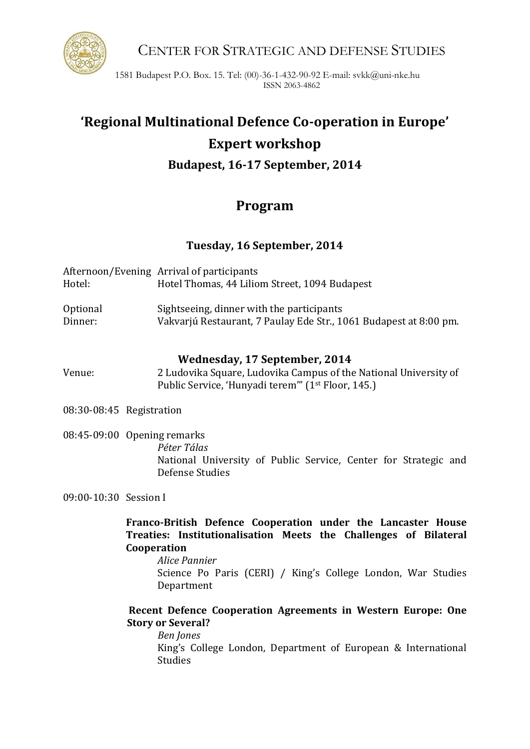

CENTER FOR STRATEGIC AND DEFENSE STUDIES

1581 Budapest P.O. Box. 15. Tel: (00)-36-1-432-90-92 E-mail: svkk@uni-nke.hu ISSN 2063-4862

# **'Regional Multinational Defence Co-operation in Europe' Expert workshop Budapest, 16-17 September, 2014**

## **Program**

**Tuesday, 16 September, 2014**

| Hotel:   | Afternoon/Evening Arrival of participants<br>Hotel Thomas, 44 Liliom Street, 1094 Budapest |
|----------|--------------------------------------------------------------------------------------------|
| Optional | Sightseeing, dinner with the participants                                                  |
| Dinner:  | Vakvarjú Restaurant, 7 Paulay Ede Str., 1061 Budapest at 8:00 pm.                          |

### **Wednesday, 17 September, 2014**

Venue: 2 Ludovika Square, Ludovika Campus of the National University of Public Service, 'Hunyadi terem'" (1st Floor, 145.)

08:30-08:45 Registration

08:45-09:00 Opening remarks *Péter Tálas* National University of Public Service, Center for Strategic and Defense Studies

09:00-10:30 Session I

**Franco-British Defence Cooperation under the Lancaster House Treaties: Institutionalisation Meets the Challenges of Bilateral Cooperation**

*Alice Pannier* Science Po Paris (CERI) / King's College London, War Studies Department

### **Recent Defence Cooperation Agreements in Western Europe: One Story or Several?**

*Ben Jones* King's College London, Department of European & International Studies